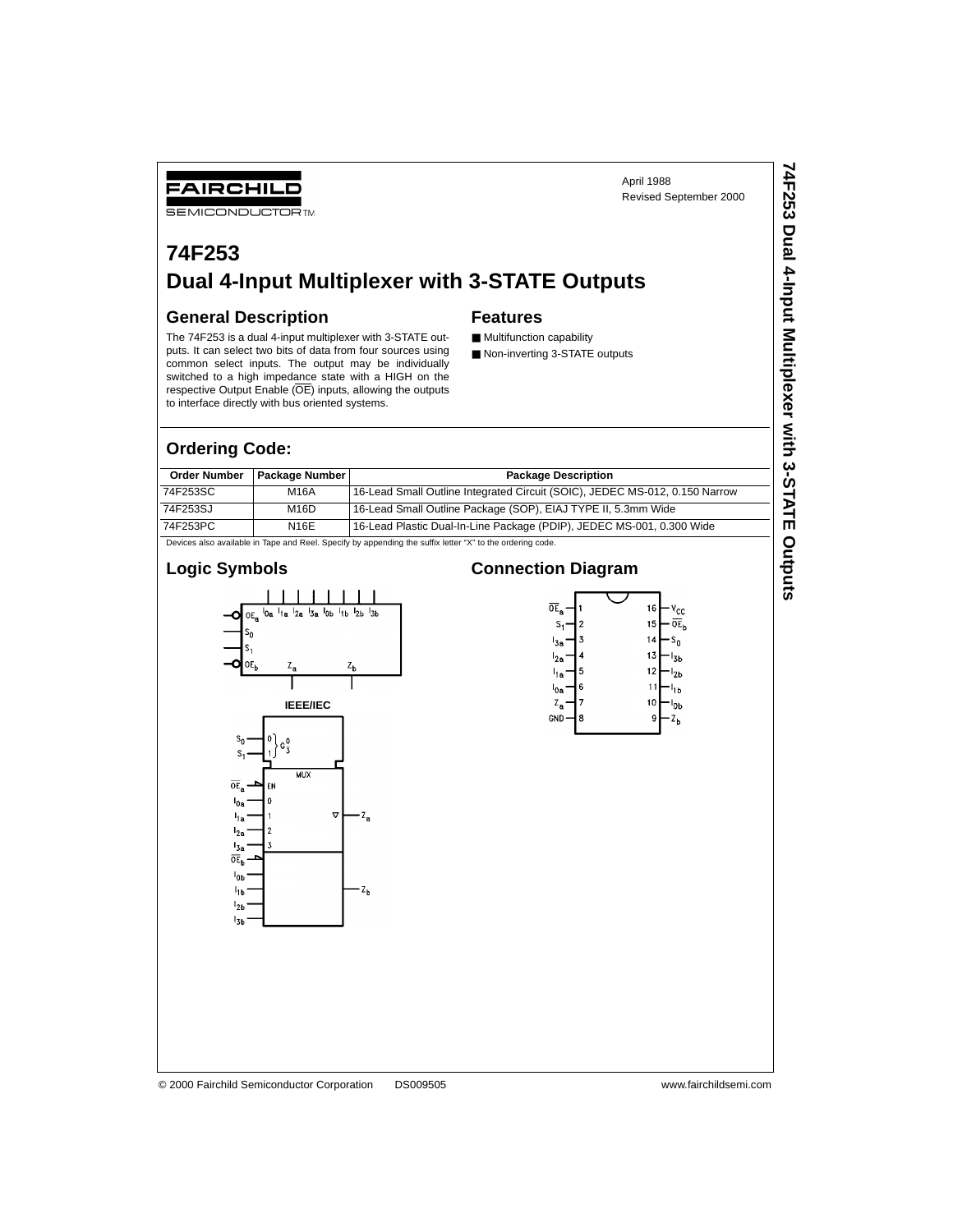April 1988 Revised September 2000 **74F253 Dual 4-Input Multiplexer with 3-STATE Outputs**

74F253 Dual 4-Input Multiplexer with 3-STATE Outputs

# **74F253 Dual 4-Input Multiplexer with 3-STATE Outputs**

#### **General Description**

FAIRCHILD **SEMICONDUCTOR TM** 

The 74F253 is a dual 4-input multiplexer with 3-STATE outputs. It can select two bits of data from four sources using common select inputs. The output may be individually switched to a high impedance state with a HIGH on the respective Output Enable (OE) inputs, allowing the outputs to interface directly with bus oriented systems.

#### **Ordering Code:**

| <b>Order Number</b> | Package Number | <b>Package Description</b>                                                                               |
|---------------------|----------------|----------------------------------------------------------------------------------------------------------|
| 74F253SC            | M16A           | 16-Lead Small Outline Integrated Circuit (SOIC), JEDEC MS-012, 0.150 Narrow                              |
| 74F253SJ            | M16D           | 16-Lead Small Outline Package (SOP), EIAJ TYPE II, 5.3mm Wide                                            |
| 74F253PC            | N16E           | 16-Lead Plastic Dual-In-Line Package (PDIP), JEDEC MS-001, 0.300 Wide                                    |
|                     |                | Devices also available in Tape and Reel. Specify by appending the suffix letter "X" to the ordering code |

**Features**

■ Multifunction capability ■ Non-inverting 3-STATE outputs

Devices also available in Tape and Reel. Specify by appending the suffix letter "X" to the ordering code.

## **Logic Symbols**



# **Connection Diagram**



#### © 2000 Fairchild Semiconductor Corporation DS009505 www.fairchildsemi.com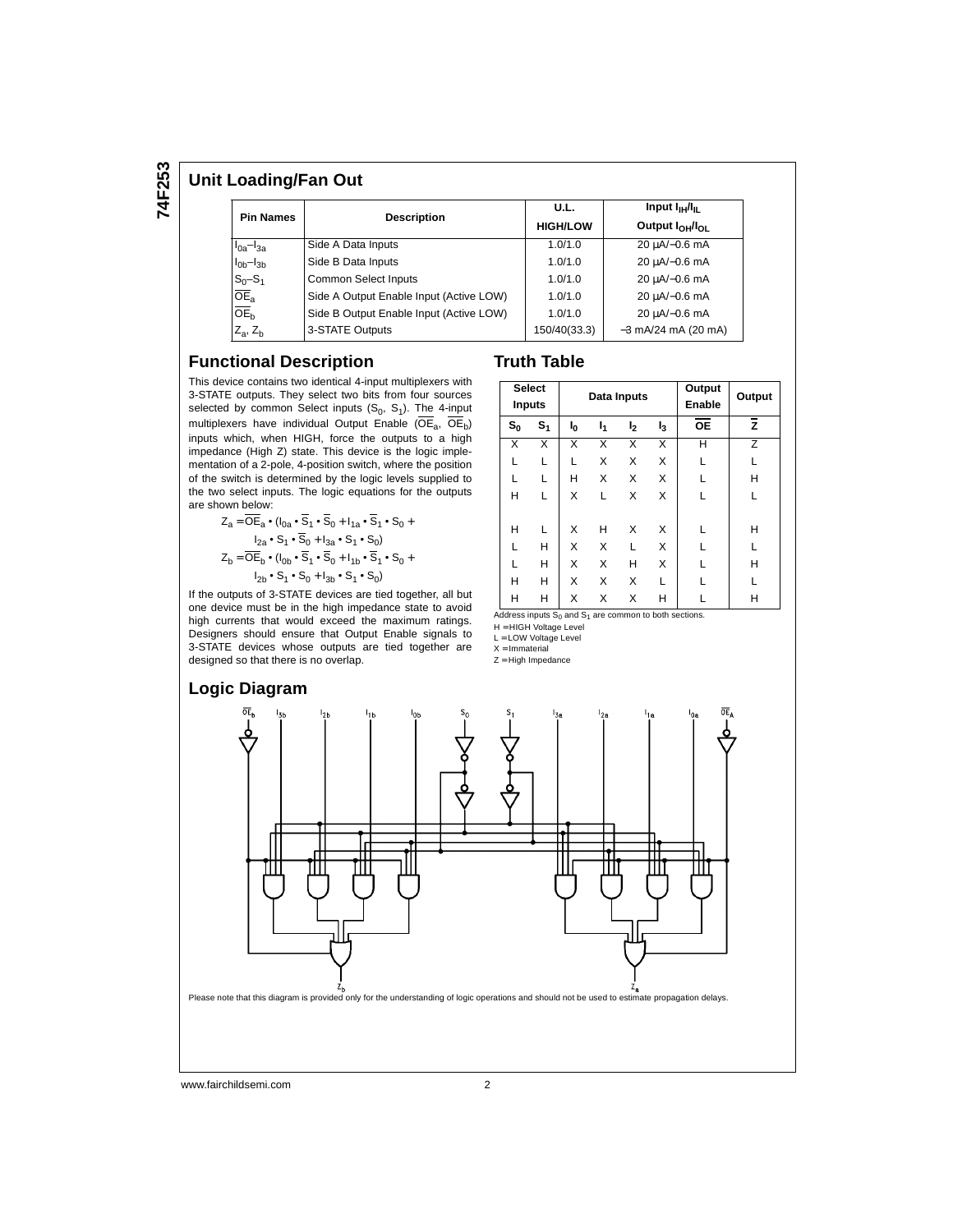**74F253**

### **Unit Loading/Fan Out**

| <b>Pin Names</b>    |                                         | U.L.            | Input $I_{\text{H}}/I_{\text{H}}$ |  |  |
|---------------------|-----------------------------------------|-----------------|-----------------------------------|--|--|
|                     | <b>Description</b>                      | <b>HIGH/LOW</b> | Output $I_{OH}/I_{OH}$            |  |  |
| $I_{0a}$ - $I_{3a}$ | Side A Data Inputs                      | 1.0/1.0         | 20 µA/-0.6 mA                     |  |  |
| $I0b-I3b$           | Side B Data Inputs                      | 1.0/1.0         | 20 µA/-0.6 mA                     |  |  |
| $S_0 - S_1$         | Common Select Inputs                    | 1.0/1.0         | 20 µA/-0.6 mA                     |  |  |
| $\overline{OE}_a$   | Side A Output Enable Input (Active LOW) | 1.0/1.0         | 20 µA/-0.6 mA                     |  |  |
| OE <sub>h</sub>     | Side B Output Enable Input (Active LOW) | 1.0/1.0         | 20 µA/-0.6 mA                     |  |  |
| $Z_a$ , $Z_b$       | 3-STATE Outputs                         | 150/40(33.3)    | $-3$ mA/24 mA (20 mA)             |  |  |

#### **Functional Description**

This device contains two identical 4-input multiplexers with 3-STATE outputs. They select two bits from four sources selected by common Select inputs  $(S_0, S_1)$ . The 4-input multiplexers have individual Output Enable ( $\overline{\text{OE}}_a$ ,  $\overline{\text{OE}}_b$ ) inputs which, when HIGH, force the outputs to a high impedance (High Z) state. This device is the logic implementation of a 2-pole, 4-position switch, where the position of the switch is determined by the logic levels supplied to the two select inputs. The logic equations for the outputs are shown below:

$$
Z_{a} = \overline{OE}_{a} \cdot (I_{0a} \cdot \overline{S}_{1} \cdot \overline{S}_{0} + I_{1a} \cdot \overline{S}_{1} \cdot S_{0} + I_{2a} \cdot S_{1} \cdot S_{0} + I_{2a} \cdot S_{1} \cdot S_{0})
$$
  
\n
$$
Z_{b} = \overline{OE}_{b} \cdot (I_{0b} \cdot \overline{S}_{1} \cdot \overline{S}_{0} + I_{1b} \cdot \overline{S}_{1} \cdot S_{0} + I_{2b} \cdot S_{1} \cdot S_{0} + I_{2b} \cdot S_{1} \cdot S_{0} + I_{2b} \cdot S_{1} \cdot S_{0})
$$

If the outputs of 3-STATE devices are tied together, all but one device must be in the high impedance state to avoid high currents that would exceed the maximum ratings. Designers should ensure that Output Enable signals to 3-STATE devices whose outputs are tied together are designed so that there is no overlap.

| <b>Select</b><br><b>Inputs</b> |       |                                                             | Data Inputs |   | Output<br>Enable                                            | Output         |   |
|--------------------------------|-------|-------------------------------------------------------------|-------------|---|-------------------------------------------------------------|----------------|---|
| $s_{o}$                        | $S_1$ | I <sub>1</sub><br>l <sub>0</sub><br>I <sub>2</sub><br>$I_3$ |             |   | <b>OE</b>                                                   | $\overline{z}$ |   |
| X                              | X     | x                                                           | x           | X | X                                                           | н              | Z |
| L                              | L     | L                                                           | X           | X | X                                                           |                | L |
| L                              | L     | н                                                           | X           | X | X                                                           |                | н |
| н                              | L     | X                                                           | L           | X | x                                                           |                | L |
| н                              | L     | X                                                           | н           | X | X                                                           |                | н |
|                                | н     | X                                                           | X           | L | X                                                           |                | L |
| г                              | Н     | X                                                           | X           | н | X                                                           |                | н |
| н                              | н     | X                                                           | X           | X | L                                                           |                | L |
| н                              | н     | X                                                           | X           | X | н                                                           |                | н |
|                                |       |                                                             |             |   | Address inputs $S_0$ and $S_1$ are common to both sections. |                |   |

H = HIGH Voltage Level

**Truth Table**

L = LOW Voltage Level

 $X = Immaterial$ 

 $Z = High\ Impedance$ 



www.fairchildsemi.com 2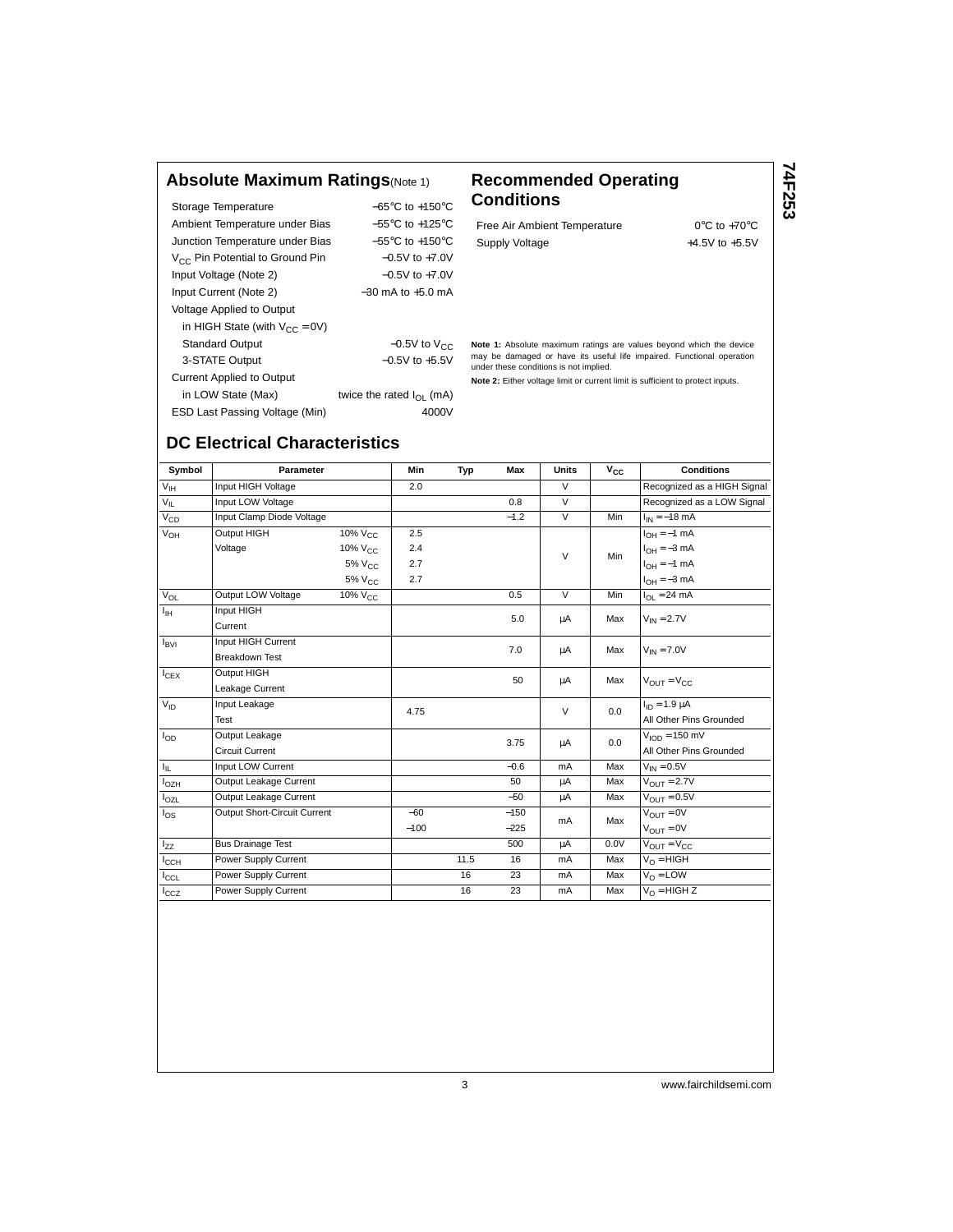## **Absolute Maximum Ratings**(Note 1) **Recommended Operating**

|                                             | $-65^{\circ}$ C to $+150^{\circ}$ C |
|---------------------------------------------|-------------------------------------|
| Storage Temperature                         |                                     |
| Ambient Temperature under Bias              | $-55^{\circ}$ C to $+125^{\circ}$ C |
| Junction Temperature under Bias             | $-55^{\circ}$ C to $+150^{\circ}$ C |
| V <sub>CC</sub> Pin Potential to Ground Pin | $-0.5V$ to $+7.0V$                  |
| Input Voltage (Note 2)                      | $-0.5V$ to $+7.0V$                  |
| Input Current (Note 2)                      | $-30$ mA to $+5.0$ mA               |
| <b>Voltage Applied to Output</b>            |                                     |
| in HIGH State (with $V_{CC} = 0V$ )         |                                     |
| <b>Standard Output</b>                      | $-0.5V$ to $V_{CC}$                 |
| 3-STATE Output                              | $-0.5V$ to $+5.5V$                  |
| <b>Current Applied to Output</b>            |                                     |
| in LOW State (Max)                          | twice the rated $I_{\Omega}$ (mA)   |
| ESD Last Passing Voltage (Min)              | 4000V                               |

# **Conditions**

Free Air Ambient Temperature 0°C to +70°C Supply Voltage  $+4.5V$  to  $+5.5V$  **74F253**

**Note 1:** Absolute maximum ratings are values beyond which the device may be damaged or have its useful life impaired. Functional operation under these conditions is not implied.

**Note 2:** Either voltage limit or current limit is sufficient to protect inputs.

# **DC Electrical Characteristics**

| Symbol            | Parameter                    |                     | Min    | Typ  | Max    | <b>Units</b>   | $\bar{v}_{cc}$ | <b>Conditions</b>                |
|-------------------|------------------------------|---------------------|--------|------|--------|----------------|----------------|----------------------------------|
| $V_{\text{IH}}$   | Input HIGH Voltage           |                     | 2.0    |      |        | $\overline{V}$ |                | Recognized as a HIGH Signal      |
| $V_{IL}$          | Input LOW Voltage            |                     |        |      | 0.8    | $\overline{V}$ |                | Recognized as a LOW Signal       |
| $V_{CD}$          | Input Clamp Diode Voltage    |                     |        |      | $-1.2$ | $\vee$         | Min            | $I_{IN} = -18$ mA                |
| $V_{OH}$          | Output HIGH                  | 10% V <sub>CC</sub> | 2.5    |      |        |                |                | $I_{OH} = -1$ mA                 |
|                   | Voltage                      | 10% V <sub>CC</sub> | 2.4    |      |        | $\vee$         | Min            | $I_{OH} = -3$ mA                 |
|                   |                              | $5\%$ $V_{CC}$      | 2.7    |      |        |                |                | $I_{OH} = -1$ mA                 |
|                   |                              | 5% V <sub>CC</sub>  | 2.7    |      |        |                |                | $I_{OH} = -3$ mA                 |
| $V_{OL}$          | Output LOW Voltage           | 10% V <sub>CC</sub> |        |      | 0.5    | $\vee$         | Min            | $I_{OL}$ = 24 mA                 |
| Iн                | Input HIGH                   |                     |        |      | 5.0    | μA             | Max            | $V_{IN} = 2.7V$                  |
|                   | Current                      |                     |        |      |        |                |                |                                  |
| $I_{\text{BVI}}$  | Input HIGH Current           |                     |        |      | 7.0    | μA             | Max            | $V_{IN} = 7.0V$                  |
|                   | <b>Breakdown Test</b>        |                     |        |      |        |                |                |                                  |
| $I_{CEX}$         | Output HIGH                  |                     |        |      | 50     | μA             | Max            | $V_{OII} = V_{CC}$               |
|                   | Leakage Current              |                     |        |      |        |                |                |                                  |
| $V_{ID}$          | Input Leakage                |                     | 4.75   |      |        | $\vee$         | 0.0            | $I_{ID} = 1.9 \mu A$             |
|                   | Test                         |                     |        |      |        |                |                | All Other Pins Grounded          |
| $I_{OD}$          | Output Leakage               |                     |        |      | 3.75   | μA             | 0.0            | $VION = 150 mV$                  |
|                   | <b>Circuit Current</b>       |                     |        |      |        |                |                | All Other Pins Grounded          |
| $I_{\parallel L}$ | Input LOW Current            |                     |        |      | $-0.6$ | mA             | Max            | $V_{IN} = 0.5V$                  |
| l <sub>OZH</sub>  | Output Leakage Current       |                     |        |      | 50     | μA             | Max            | $V_{\text{OUT}} = 2.7V$          |
| $I_{OZL}$         | Output Leakage Current       |                     |        |      | $-50$  | μA             | Max            | $V_{\text{OUT}} = 0.5V$          |
| $I_{OS}$          | Output Short-Circuit Current |                     | $-60$  |      | $-150$ | mA             | Max            | $V_{\text{OUT}} = 0V$            |
|                   |                              |                     | $-100$ |      | $-225$ |                |                | $V_{\text{OUT}} = 0V$            |
| l <sub>zz</sub>   | <b>Bus Drainage Test</b>     |                     |        |      | 500    | μA             | 0.0V           | $V_{\text{OUT}} = V_{\text{CC}}$ |
| $I_{\rm CCH}$     | Power Supply Current         |                     |        | 11.5 | 16     | mA             | Max            | $V_O = HIGH$                     |
| $I_{CCL}$         | Power Supply Current         |                     |        | 16   | 23     | mA             | Max            | $V_{\Omega}$ = LOW               |
| $I_{CCZ}$         | Power Supply Current         |                     |        | 16   | 23     | mA             | Max            | $V_{\Omega}$ = HIGH Z            |